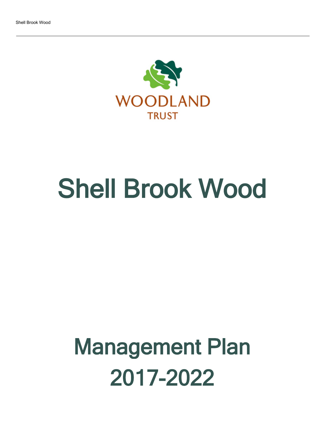

# Shell Brook Wood

# Management Plan 2017-2022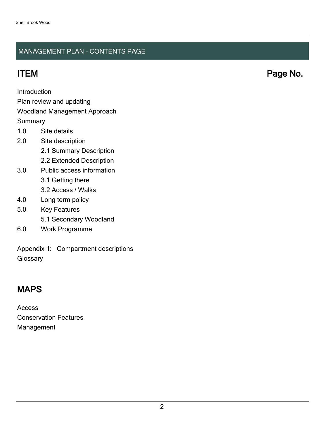### MANAGEMENT PLAN - CONTENTS PAGE

Introduction

Plan review and updating

#### Woodland Management Approach

**Summary** 

- 1.0 Site details
- 2.0 Site description
	- 2.1 Summary Description
	- 2.2 Extended Description
- 3.0 Public access information
	- 3.1 Getting there
	- 3.2 Access / Walks
- 4.0 Long term policy
- 5.0 Key Features
	- 5.1 Secondary Woodland
- 6.0 Work Programme

Appendix 1: Compartment descriptions **Glossary** 

# MAPS

Access Conservation Features Management

ITEM Page No.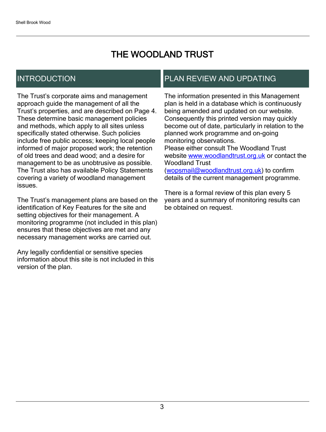# THE WOODLAND TRUST

# INTRODUCTION

The Trust's corporate aims and management approach guide the management of all the Trust's properties, and are described on Page 4. These determine basic management policies and methods, which apply to all sites unless specifically stated otherwise. Such policies include free public access; keeping local people informed of major proposed work; the retention of old trees and dead wood; and a desire for management to be as unobtrusive as possible. The Trust also has available Policy Statements covering a variety of woodland management issues.

The Trust's management plans are based on the identification of Key Features for the site and setting objectives for their management. A monitoring programme (not included in this plan) ensures that these objectives are met and any necessary management works are carried out.

Any legally confidential or sensitive species information about this site is not included in this version of the plan.

## PLAN REVIEW AND UPDATING

The information presented in this Management plan is held in a database which is continuously being amended and updated on our website. Consequently this printed version may quickly become out of date, particularly in relation to the planned work programme and on-going monitoring observations. Please either consult The Woodland Trust website [www.woodlandtrust.org.uk](http://www.woodlandtrust.org.uk/) or contact the Woodland Trust [\(wopsmail@woodlandtrust.org.uk](mailto:wopsmail@woodlandtrust.org.uk)) to confirm

details of the current management programme.

There is a formal review of this plan every 5 years and a summary of monitoring results can be obtained on request.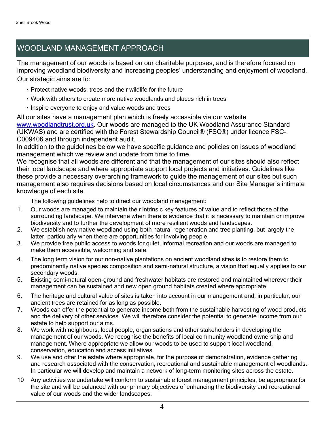# WOODLAND MANAGEMENT APPROACH

The management of our woods is based on our charitable purposes, and is therefore focused on improving woodland biodiversity and increasing peoples' understanding and enjoyment of woodland. Our strategic aims are to:

- Protect native woods, trees and their wildlife for the future
- Work with others to create more native woodlands and places rich in trees
- Inspire everyone to enjoy and value woods and trees

All our sites have a management plan which is freely accessible via our website [www.woodlandtrust.org.uk.](http://www.woodlandtrust.org.uk/) Our woods are managed to the UK Woodland Assurance Standard (UKWAS) and are certified with the Forest Stewardship Council® (FSC®) under licence FSC-C009406 and through independent audit.

In addition to the guidelines below we have specific guidance and policies on issues of woodland management which we review and update from time to time.

We recognise that all woods are different and that the management of our sites should also reflect their local landscape and where appropriate support local projects and initiatives. Guidelines like these provide a necessary overarching framework to guide the management of our sites but such management also requires decisions based on local circumstances and our Site Manager's intimate knowledge of each site.

The following guidelines help to direct our woodland management:

- 1. Our woods are managed to maintain their intrinsic key features of value and to reflect those of the surrounding landscape. We intervene when there is evidence that it is necessary to maintain or improve biodiversity and to further the development of more resilient woods and landscapes.
- 2. We establish new native woodland using both natural regeneration and tree planting, but largely the latter, particularly when there are opportunities for involving people.
- 3. We provide free public access to woods for quiet, informal recreation and our woods are managed to make them accessible, welcoming and safe.
- 4. The long term vision for our non-native plantations on ancient woodland sites is to restore them to predominantly native species composition and semi-natural structure, a vision that equally applies to our secondary woods.
- 5. Existing semi-natural open-ground and freshwater habitats are restored and maintained wherever their management can be sustained and new open ground habitats created where appropriate.
- 6. The heritage and cultural value of sites is taken into account in our management and, in particular, our ancient trees are retained for as long as possible.
- 7. Woods can offer the potential to generate income both from the sustainable harvesting of wood products and the delivery of other services. We will therefore consider the potential to generate income from our estate to help support our aims.
- 8. We work with neighbours, local people, organisations and other stakeholders in developing the management of our woods. We recognise the benefits of local community woodland ownership and management. Where appropriate we allow our woods to be used to support local woodland, conservation, education and access initiatives.
- 9. We use and offer the estate where appropriate, for the purpose of demonstration, evidence gathering and research associated with the conservation, recreational and sustainable management of woodlands. In particular we will develop and maintain a network of long-term monitoring sites across the estate.
- 10 Any activities we undertake will conform to sustainable forest management principles, be appropriate for the site and will be balanced with our primary objectives of enhancing the biodiversity and recreational value of our woods and the wider landscapes.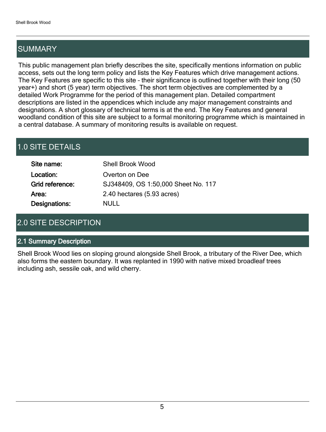# SUMMARY

This public management plan briefly describes the site, specifically mentions information on public access, sets out the long term policy and lists the Key Features which drive management actions. The Key Features are specific to this site - their significance is outlined together with their long (50 year+) and short (5 year) term objectives. The short term objectives are complemented by a detailed Work Programme for the period of this management plan. Detailed compartment descriptions are listed in the appendices which include any major management constraints and designations. A short glossary of technical terms is at the end. The Key Features and general woodland condition of this site are subject to a formal monitoring programme which is maintained in a central database. A summary of monitoring results is available on request.

# 1.0 SITE DETAILS

| Site name:      | <b>Shell Brook Wood</b>             |
|-----------------|-------------------------------------|
| Location:       | Overton on Dee                      |
| Grid reference: | SJ348409, OS 1:50,000 Sheet No. 117 |
| Area:           | 2.40 hectares (5.93 acres)          |
| Designations:   | NULL                                |

# 2.0 SITE DESCRIPTION

#### 2.1 Summary Description

Shell Brook Wood lies on sloping ground alongside Shell Brook, a tributary of the River Dee, which also forms the eastern boundary. It was replanted in 1990 with native mixed broadleaf trees including ash, sessile oak, and wild cherry.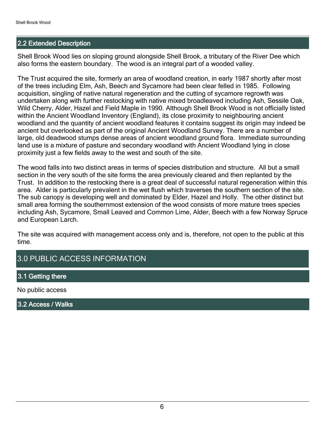#### 2.2 Extended Description

Shell Brook Wood lies on sloping ground alongside Shell Brook, a tributary of the River Dee which also forms the eastern boundary. The wood is an integral part of a wooded valley.

The Trust acquired the site, formerly an area of woodland creation, in early 1987 shortly after most of the trees including Elm, Ash, Beech and Sycamore had been clear felled in 1985. Following acquisition, singling of native natural regeneration and the cutting of sycamore regrowth was undertaken along with further restocking with native mixed broadleaved including Ash, Sessile Oak, Wild Cherry, Alder, Hazel and Field Maple in 1990. Although Shell Brook Wood is not officially listed within the Ancient Woodland Inventory (England), its close proximity to neighbouring ancient woodland and the quantity of ancient woodland features it contains suggest its origin may indeed be ancient but overlooked as part of the original Ancient Woodland Survey. There are a number of large, old deadwood stumps dense areas of ancient woodland ground flora. Immediate surrounding land use is a mixture of pasture and secondary woodland with Ancient Woodland lying in close proximity just a few fields away to the west and south of the site.

The wood falls into two distinct areas in terms of species distribution and structure. All but a small section in the very south of the site forms the area previously cleared and then replanted by the Trust. In addition to the restocking there is a great deal of successful natural regeneration within this area. Alder is particularly prevalent in the wet flush which traverses the southern section of the site. The sub canopy is developing well and dominated by Elder, Hazel and Holly. The other distinct but small area forming the southernmost extension of the wood consists of more mature trees species including Ash, Sycamore, Small Leaved and Common Lime, Alder, Beech with a few Norway Spruce and European Larch.

The site was acquired with management access only and is, therefore, not open to the public at this time.

## 3.0 PUBLIC ACCESS INFORMATION

#### 3.1 Getting there

No public access

3.2 Access / Walks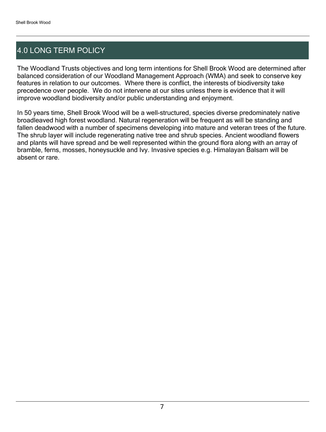# 4.0 LONG TERM POLICY

The Woodland Trusts objectives and long term intentions for Shell Brook Wood are determined after balanced consideration of our Woodland Management Approach (WMA) and seek to conserve key features in relation to our outcomes. Where there is conflict, the interests of biodiversity take precedence over people. We do not intervene at our sites unless there is evidence that it will improve woodland biodiversity and/or public understanding and enjoyment.

In 50 years time, Shell Brook Wood will be a well-structured, species diverse predominately native broadleaved high forest woodland. Natural regeneration will be frequent as will be standing and fallen deadwood with a number of specimens developing into mature and veteran trees of the future. The shrub layer will include regenerating native tree and shrub species. Ancient woodland flowers and plants will have spread and be well represented within the ground flora along with an array of bramble, ferns, mosses, honeysuckle and Ivy. Invasive species e.g. Himalayan Balsam will be absent or rare.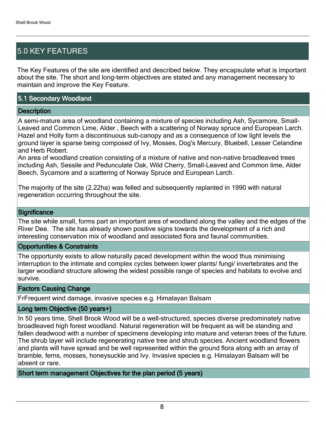# 5.0 KEY FEATURES

The Key Features of the site are identified and described below. They encapsulate what is important about the site. The short and long-term objectives are stated and any management necessary to maintain and improve the Key Feature.

#### 5.1 Secondary Woodland

#### **Description**

A semi-mature area of woodland containing a mixture of species including Ash, Sycamore, Small-Leaved and Common Lime, Alder , Beech with a scattering of Norway spruce and European Larch. Hazel and Holly form a discontinuous sub-canopy and as a consequence of low light levels the ground layer is sparse being composed of Ivy, Mosses, Dog's Mercury, Bluebell, Lesser Celandine and Herb Robert.

An area of woodland creation consisting of a mixture of native and non-native broadleaved trees including Ash, Sessile and Pedunculate Oak, Wild Cherry, Small-Leaved and Common lime, Alder Beech, Sycamore and a scattering of Norway Spruce and European Larch.

The majority of the site (2.22ha) was felled and subsequently replanted in 1990 with natural regeneration occurring throughout the site.

#### **Significance**

The site while small, forms part an important area of woodland along the valley and the edges of the River Dee. The site has already shown positive signs towards the development of a rich and interesting conservation mix of woodland and associated flora and faunal communities.

#### Opportunities & Constraints

The opportunity exists to allow naturally paced development within the wood thus minimising interruption to the intimate and complex cycles between lower plants/ fungi/ invertebrates and the larger woodland structure allowing the widest possible range of species and habitats to evolve and survive.

Factors Causing Change

FrFrequent wind damage, invasive species e.g. Himalayan Balsam

#### Long term Objective (50 years+)

In 50 years time, Shell Brook Wood will be a well-structured, species diverse predominately native broadleaved high forest woodland. Natural regeneration will be frequent as will be standing and fallen deadwood with a number of specimens developing into mature and veteran trees of the future. The shrub layer will include regenerating native tree and shrub species. Ancient woodland flowers and plants will have spread and be well represented within the ground flora along with an array of bramble, ferns, mosses, honeysuckle and Ivy. Invasive species e.g. Himalayan Balsam will be absent or rare.

Short term management Objectives for the plan period (5 years)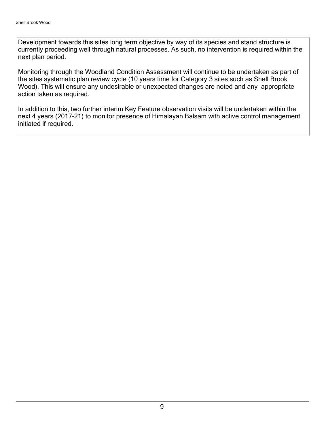Development towards this sites long term objective by way of its species and stand structure is currently proceeding well through natural processes. As such, no intervention is required within the next plan period.

Monitoring through the Woodland Condition Assessment will continue to be undertaken as part of the sites systematic plan review cycle (10 years time for Category 3 sites such as Shell Brook Wood). This will ensure any undesirable or unexpected changes are noted and any appropriate action taken as required.

In addition to this, two further interim Key Feature observation visits will be undertaken within the next 4 years (2017-21) to monitor presence of Himalayan Balsam with active control management initiated if required.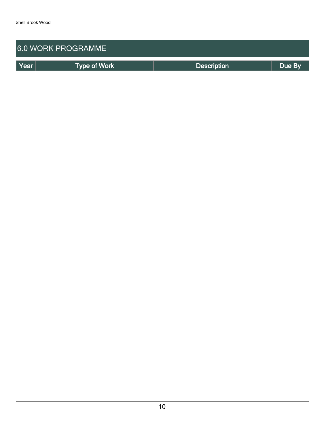| <b>6.0 WORK PROGRAMME</b> |                     |                    |        |  |  |  |  |
|---------------------------|---------------------|--------------------|--------|--|--|--|--|
| Year                      | <b>Type of Work</b> | <b>Description</b> | Due By |  |  |  |  |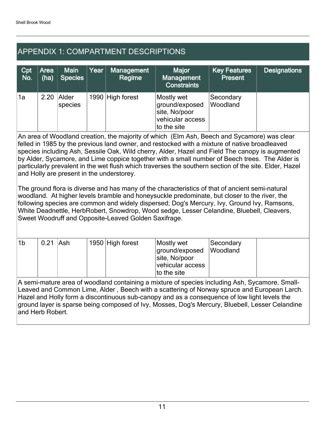# APPENDIX 1: COMPARTMENT DESCRIPTIONS

| Cpt<br>No. | Area<br>(ha) | <b>Main</b><br><b>Species</b> | Year | <b>Management</b><br>Regime | <b>Major</b><br>Management<br><b>Constraints</b>                                 | <b>Key Features</b><br><b>Present</b> | <b>Designations</b> |
|------------|--------------|-------------------------------|------|-----------------------------|----------------------------------------------------------------------------------|---------------------------------------|---------------------|
| `1a        | 2.20         | Alder<br>species              |      | 1990 High forest            | Mostly wet<br>ground/exposed<br>site, No/poor<br>vehicular access<br>to the site | Secondary<br>Woodland                 |                     |

An area of Woodland creation, the majority of which (Elm Ash, Beech and Sycamore) was clear felled in 1985 by the previous land owner, and restocked with a mixture of native broadleaved species including Ash, Sessile Oak, Wild cherry, Alder, Hazel and Field The canopy is augmented by Alder, Sycamore, and Lime coppice together with a small number of Beech trees. The Alder is particularly prevalent in the wet flush which traverses the southern section of the site. Elder, Hazel and Holly are present in the understorey.

The ground flora is diverse and has many of the characteristics of that of ancient semi-natural woodland. At higher levels bramble and honeysuckle predominate, but closer to the river, the following species are common and widely dispersed; Dog's Mercury, Ivy, Ground Ivy, Ramsons, White Deadnettle, HerbRobert, Snowdrop, Wood sedge, Lesser Celandine, Bluebell, Cleavers, Sweet Woodruff and Opposite-Leaved Golden Saxifrage.

| $^{\dagger}$ 1b | $0.21$ Ash |  | 1950 High forest | Mostly wet<br>ground/exposed<br>site, No/poor<br>vehicular access | Secondary<br>Woodland |  |
|-----------------|------------|--|------------------|-------------------------------------------------------------------|-----------------------|--|
|                 |            |  |                  | to the site                                                       |                       |  |

A semi-mature area of woodland containing a mixture of species including Ash, Sycamore, Small-Leaved and Common Lime, Alder , Beech with a scattering of Norway spruce and European Larch. Hazel and Holly form a discontinuous sub-canopy and as a consequence of low light levels the ground layer is sparse being composed of Ivy, Mosses, Dog's Mercury, Bluebell, Lesser Celandine and Herb Robert.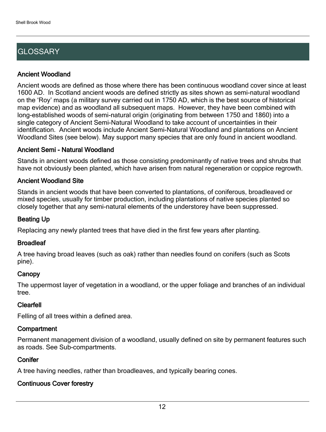# **GLOSSARY**

#### Ancient Woodland

Ancient woods are defined as those where there has been continuous woodland cover since at least 1600 AD. In Scotland ancient woods are defined strictly as sites shown as semi-natural woodland on the 'Roy' maps (a military survey carried out in 1750 AD, which is the best source of historical map evidence) and as woodland all subsequent maps. However, they have been combined with long-established woods of semi-natural origin (originating from between 1750 and 1860) into a single category of Ancient Semi-Natural Woodland to take account of uncertainties in their identification. Ancient woods include Ancient Semi-Natural Woodland and plantations on Ancient Woodland Sites (see below). May support many species that are only found in ancient woodland.

#### Ancient Semi - Natural Woodland

Stands in ancient woods defined as those consisting predominantly of native trees and shrubs that have not obviously been planted, which have arisen from natural regeneration or coppice regrowth.

#### Ancient Woodland Site

Stands in ancient woods that have been converted to plantations, of coniferous, broadleaved or mixed species, usually for timber production, including plantations of native species planted so closely together that any semi-natural elements of the understorey have been suppressed.

#### Beating Up

Replacing any newly planted trees that have died in the first few years after planting.

#### **Broadleaf**

A tree having broad leaves (such as oak) rather than needles found on conifers (such as Scots pine).

#### **Canopy**

The uppermost layer of vegetation in a woodland, or the upper foliage and branches of an individual tree.

#### Clearfell

Felling of all trees within a defined area.

#### **Compartment**

Permanent management division of a woodland, usually defined on site by permanent features such as roads. See Sub-compartments.

#### **Conifer**

A tree having needles, rather than broadleaves, and typically bearing cones.

### Continuous Cover forestry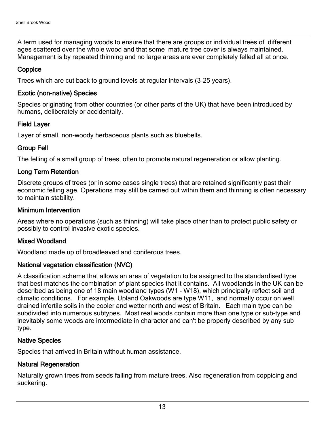A term used for managing woods to ensure that there are groups or individual trees of different ages scattered over the whole wood and that some mature tree cover is always maintained. Management is by repeated thinning and no large areas are ever completely felled all at once.

#### **Coppice**

Trees which are cut back to ground levels at regular intervals (3-25 years).

#### Exotic (non-native) Species

Species originating from other countries (or other parts of the UK) that have been introduced by humans, deliberately or accidentally.

#### Field Layer

Layer of small, non-woody herbaceous plants such as bluebells.

#### Group Fell

The felling of a small group of trees, often to promote natural regeneration or allow planting.

#### Long Term Retention

Discrete groups of trees (or in some cases single trees) that are retained significantly past their economic felling age. Operations may still be carried out within them and thinning is often necessary to maintain stability.

#### Minimum Intervention

Areas where no operations (such as thinning) will take place other than to protect public safety or possibly to control invasive exotic species.

#### Mixed Woodland

Woodland made up of broadleaved and coniferous trees.

#### National vegetation classification (NVC)

A classification scheme that allows an area of vegetation to be assigned to the standardised type that best matches the combination of plant species that it contains. All woodlands in the UK can be described as being one of 18 main woodland types (W1 - W18), which principally reflect soil and climatic conditions. For example, Upland Oakwoods are type W11, and normally occur on well drained infertile soils in the cooler and wetter north and west of Britain. Each main type can be subdivided into numerous subtypes. Most real woods contain more than one type or sub-type and inevitably some woods are intermediate in character and can't be properly described by any sub type.

#### Native Species

Species that arrived in Britain without human assistance.

#### Natural Regeneration

Naturally grown trees from seeds falling from mature trees. Also regeneration from coppicing and suckering.